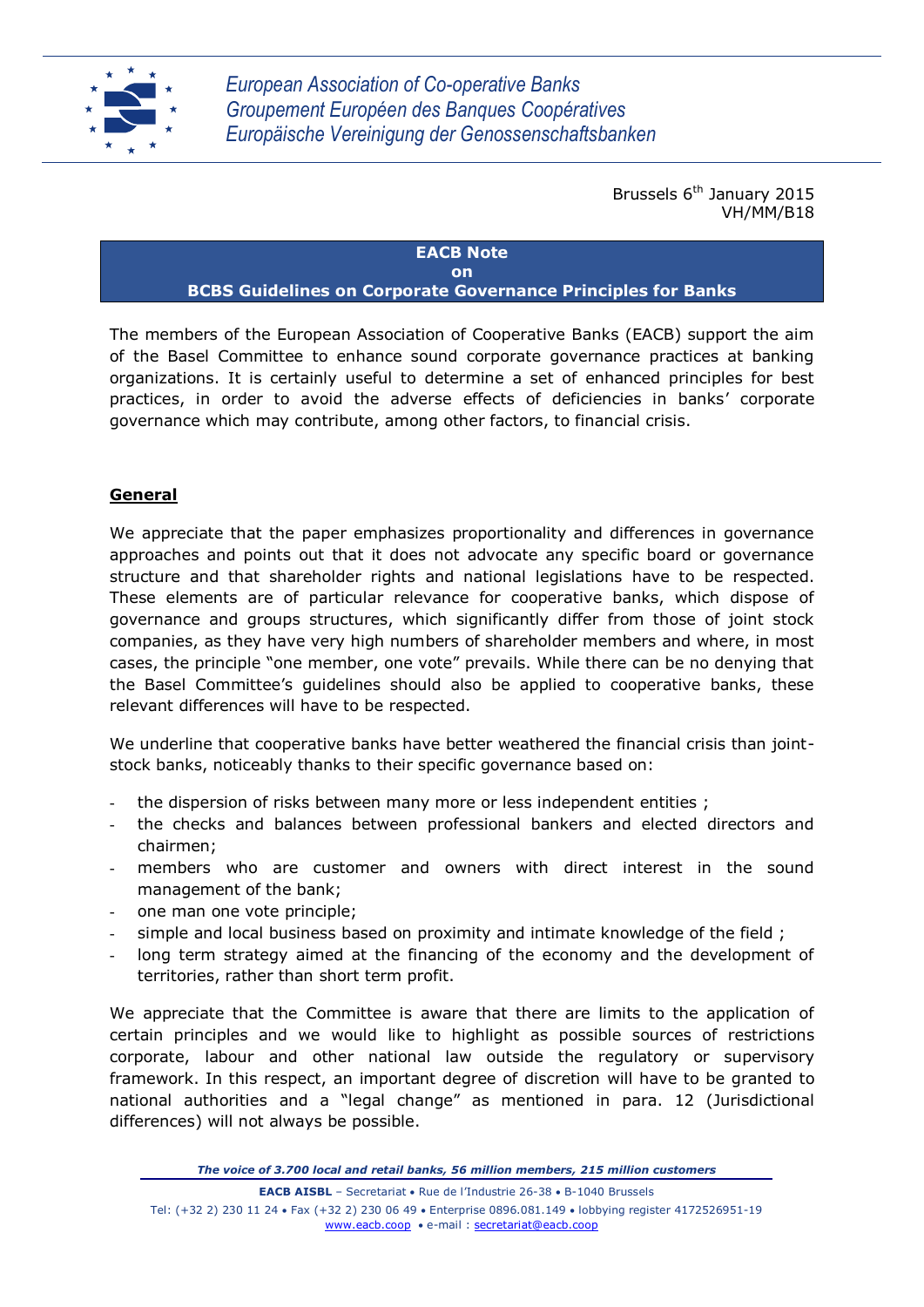

Brussels 6<sup>th</sup> January 2015 VH/MM/B18

#### **EACB Note on BCBS Guidelines on Corporate Governance Principles for Banks**

The members of the European Association of Cooperative Banks (EACB) support the aim of the Basel Committee to enhance sound corporate governance practices at banking organizations. It is certainly useful to determine a set of enhanced principles for best practices, in order to avoid the adverse effects of deficiencies in banks' corporate governance which may contribute, among other factors, to financial crisis.

# **General**

We appreciate that the paper emphasizes proportionality and differences in governance approaches and points out that it does not advocate any specific board or governance structure and that shareholder rights and national legislations have to be respected. These elements are of particular relevance for cooperative banks, which dispose of governance and groups structures, which significantly differ from those of joint stock companies, as they have very high numbers of shareholder members and where, in most cases, the principle "one member, one vote" prevails. While there can be no denying that the Basel Committee's guidelines should also be applied to cooperative banks, these relevant differences will have to be respected.

We underline that cooperative banks have better weathered the financial crisis than jointstock banks, noticeably thanks to their specific governance based on:

- the dispersion of risks between many more or less independent entities ;
- the checks and balances between professional bankers and elected directors and chairmen;
- members who are customer and owners with direct interest in the sound management of the bank;
- one man one vote principle;
- simple and local business based on proximity and intimate knowledge of the field;
- long term strategy aimed at the financing of the economy and the development of territories, rather than short term profit.

We appreciate that the Committee is aware that there are limits to the application of certain principles and we would like to highlight as possible sources of restrictions corporate, labour and other national law outside the regulatory or supervisory framework. In this respect, an important degree of discretion will have to be granted to national authorities and a "legal change" as mentioned in para. 12 (Jurisdictional differences) will not always be possible.

*The voice of 3.700 local and retail banks, 56 million members, 215 million customers*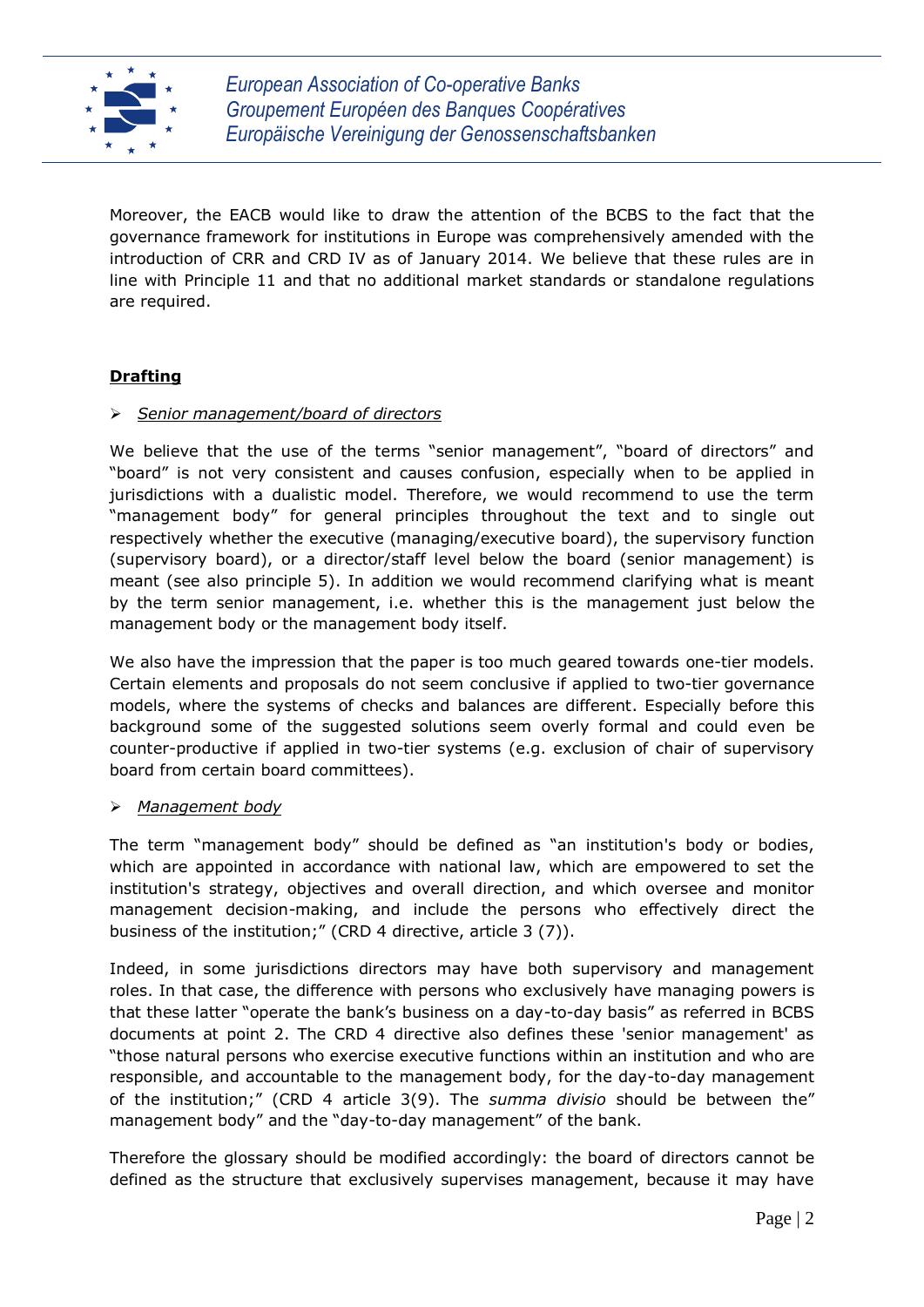

Moreover, the EACB would like to draw the attention of the BCBS to the fact that the governance framework for institutions in Europe was comprehensively amended with the introduction of CRR and CRD IV as of January 2014. We believe that these rules are in line with Principle 11 and that no additional market standards or standalone regulations are required.

# **Drafting**

### *Senior management/board of directors*

We believe that the use of the terms "senior management", "board of directors" and "board" is not very consistent and causes confusion, especially when to be applied in jurisdictions with a dualistic model. Therefore, we would recommend to use the term "management body" for general principles throughout the text and to single out respectively whether the executive (managing/executive board), the supervisory function (supervisory board), or a director/staff level below the board (senior management) is meant (see also principle 5). In addition we would recommend clarifying what is meant by the term senior management, i.e. whether this is the management just below the management body or the management body itself.

We also have the impression that the paper is too much geared towards one-tier models. Certain elements and proposals do not seem conclusive if applied to two-tier governance models, where the systems of checks and balances are different. Especially before this background some of the suggested solutions seem overly formal and could even be counter-productive if applied in two-tier systems (e.g. exclusion of chair of supervisory board from certain board committees).

#### *Management body*

The term "management body" should be defined as "an institution's body or bodies, which are appointed in accordance with national law, which are empowered to set the institution's strategy, objectives and overall direction, and which oversee and monitor management decision-making, and include the persons who effectively direct the business of the institution;" (CRD 4 directive, article 3 (7)).

Indeed, in some jurisdictions directors may have both supervisory and management roles. In that case, the difference with persons who exclusively have managing powers is that these latter "operate the bank's business on a day-to-day basis" as referred in BCBS documents at point 2. The CRD 4 directive also defines these 'senior management' as "those natural persons who exercise executive functions within an institution and who are responsible, and accountable to the management body, for the day-to-day management of the institution;" (CRD 4 article 3(9). The *summa divisio* should be between the" management body" and the "day-to-day management" of the bank.

Therefore the glossary should be modified accordingly: the board of directors cannot be defined as the structure that exclusively supervises management, because it may have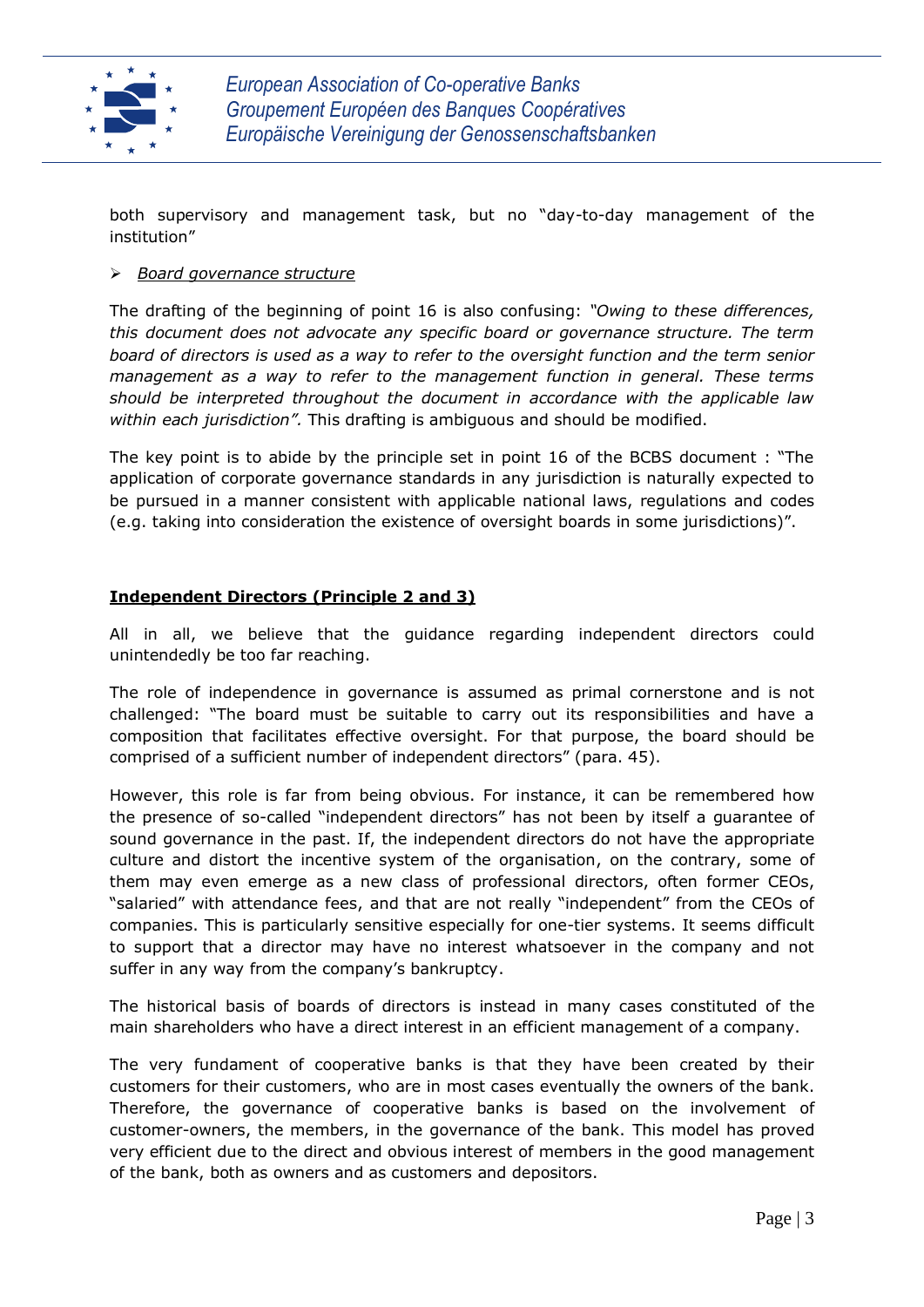

both supervisory and management task, but no "day-to-day management of the institution"

#### *Board governance structure*

The drafting of the beginning of point 16 is also confusing: *"Owing to these differences, this document does not advocate any specific board or governance structure. The term board of directors is used as a way to refer to the oversight function and the term senior management as a way to refer to the management function in general. These terms should be interpreted throughout the document in accordance with the applicable law within each jurisdiction".* This drafting is ambiguous and should be modified.

The key point is to abide by the principle set in point 16 of the BCBS document : "The application of corporate governance standards in any jurisdiction is naturally expected to be pursued in a manner consistent with applicable national laws, regulations and codes (e.g. taking into consideration the existence of oversight boards in some jurisdictions)".

#### **Independent Directors (Principle 2 and 3)**

All in all, we believe that the guidance regarding independent directors could unintendedly be too far reaching.

The role of independence in governance is assumed as primal cornerstone and is not challenged: "The board must be suitable to carry out its responsibilities and have a composition that facilitates effective oversight. For that purpose, the board should be comprised of a sufficient number of independent directors" (para. 45).

However, this role is far from being obvious. For instance, it can be remembered how the presence of so-called "independent directors" has not been by itself a guarantee of sound governance in the past. If, the independent directors do not have the appropriate culture and distort the incentive system of the organisation, on the contrary, some of them may even emerge as a new class of professional directors, often former CEOs, "salaried" with attendance fees, and that are not really "independent" from the CEOs of companies. This is particularly sensitive especially for one-tier systems. It seems difficult to support that a director may have no interest whatsoever in the company and not suffer in any way from the company's bankruptcy.

The historical basis of boards of directors is instead in many cases constituted of the main shareholders who have a direct interest in an efficient management of a company.

The very fundament of cooperative banks is that they have been created by their customers for their customers, who are in most cases eventually the owners of the bank. Therefore, the governance of cooperative banks is based on the involvement of customer-owners, the members, in the governance of the bank. This model has proved very efficient due to the direct and obvious interest of members in the good management of the bank, both as owners and as customers and depositors.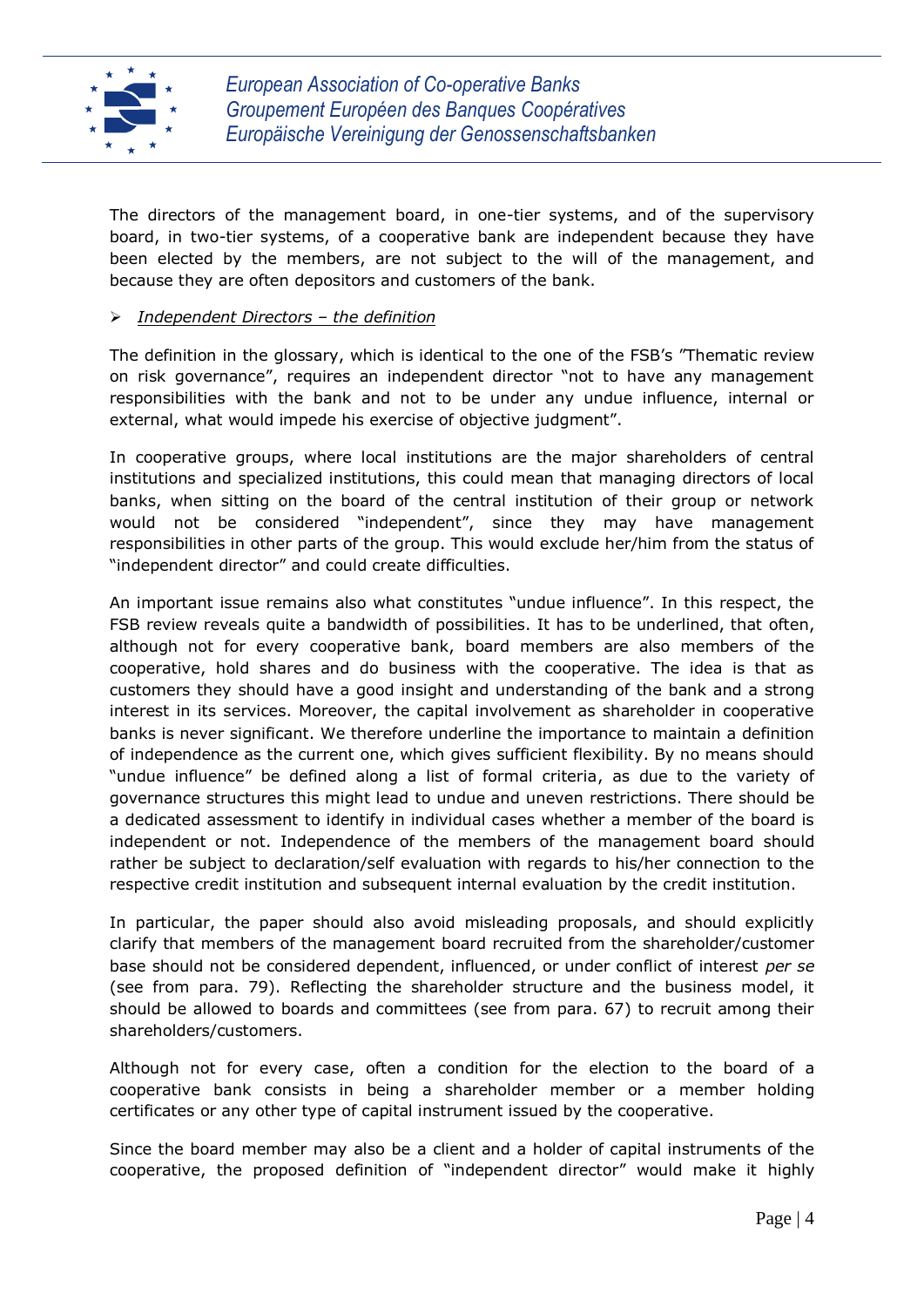

The directors of the management board, in one-tier systems, and of the supervisory board, in two-tier systems, of a cooperative bank are independent because they have been elected by the members, are not subject to the will of the management, and because they are often depositors and customers of the bank.

#### *Independent Directors – the definition*

The definition in the glossary, which is identical to the one of the FSB's "Thematic review on risk governance", requires an independent director "not to have any management responsibilities with the bank and not to be under any undue influence, internal or external, what would impede his exercise of objective judgment".

In cooperative groups, where local institutions are the major shareholders of central institutions and specialized institutions, this could mean that managing directors of local banks, when sitting on the board of the central institution of their group or network would not be considered "independent", since they may have management responsibilities in other parts of the group. This would exclude her/him from the status of "independent director" and could create difficulties.

An important issue remains also what constitutes "undue influence". In this respect, the FSB review reveals quite a bandwidth of possibilities. It has to be underlined, that often, although not for every cooperative bank, board members are also members of the cooperative, hold shares and do business with the cooperative. The idea is that as customers they should have a good insight and understanding of the bank and a strong interest in its services. Moreover, the capital involvement as shareholder in cooperative banks is never significant. We therefore underline the importance to maintain a definition of independence as the current one, which gives sufficient flexibility. By no means should "undue influence" be defined along a list of formal criteria, as due to the variety of governance structures this might lead to undue and uneven restrictions. There should be a dedicated assessment to identify in individual cases whether a member of the board is independent or not. Independence of the members of the management board should rather be subject to declaration/self evaluation with regards to his/her connection to the respective credit institution and subsequent internal evaluation by the credit institution.

In particular, the paper should also avoid misleading proposals, and should explicitly clarify that members of the management board recruited from the shareholder/customer base should not be considered dependent, influenced, or under conflict of interest *per se* (see from para. 79). Reflecting the shareholder structure and the business model, it should be allowed to boards and committees (see from para. 67) to recruit among their shareholders/customers.

Although not for every case, often a condition for the election to the board of a cooperative bank consists in being a shareholder member or a member holding certificates or any other type of capital instrument issued by the cooperative.

Since the board member may also be a client and a holder of capital instruments of the cooperative, the proposed definition of "independent director" would make it highly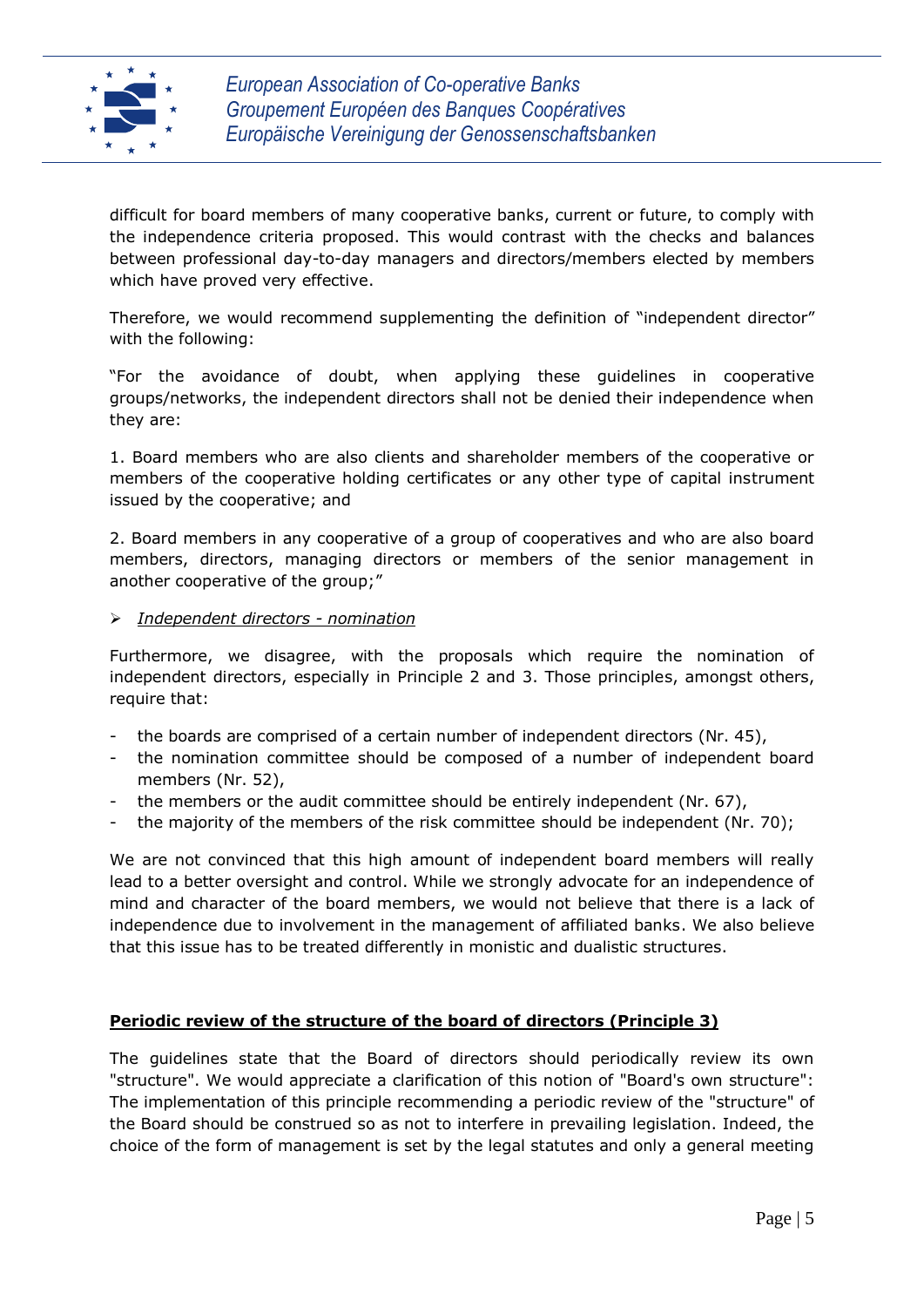

difficult for board members of many cooperative banks, current or future, to comply with the independence criteria proposed. This would contrast with the checks and balances between professional day-to-day managers and directors/members elected by members which have proved very effective.

Therefore, we would recommend supplementing the definition of "independent director" with the following:

"For the avoidance of doubt, when applying these guidelines in cooperative groups/networks, the independent directors shall not be denied their independence when they are:

1. Board members who are also clients and shareholder members of the cooperative or members of the cooperative holding certificates or any other type of capital instrument issued by the cooperative; and

2. Board members in any cooperative of a group of cooperatives and who are also board members, directors, managing directors or members of the senior management in another cooperative of the group;"

#### *Independent directors - nomination*

Furthermore, we disagree, with the proposals which require the nomination of independent directors, especially in Principle 2 and 3. Those principles, amongst others, require that:

- the boards are comprised of a certain number of independent directors (Nr. 45),
- the nomination committee should be composed of a number of independent board members (Nr. 52),
- the members or the audit committee should be entirely independent (Nr. 67),
- the majority of the members of the risk committee should be independent (Nr. 70);

We are not convinced that this high amount of independent board members will really lead to a better oversight and control. While we strongly advocate for an independence of mind and character of the board members, we would not believe that there is a lack of independence due to involvement in the management of affiliated banks. We also believe that this issue has to be treated differently in monistic and dualistic structures.

#### **Periodic review of the structure of the board of directors (Principle 3)**

The guidelines state that the Board of directors should periodically review its own "structure". We would appreciate a clarification of this notion of "Board's own structure": The implementation of this principle recommending a periodic review of the "structure" of the Board should be construed so as not to interfere in prevailing legislation. Indeed, the choice of the form of management is set by the legal statutes and only a general meeting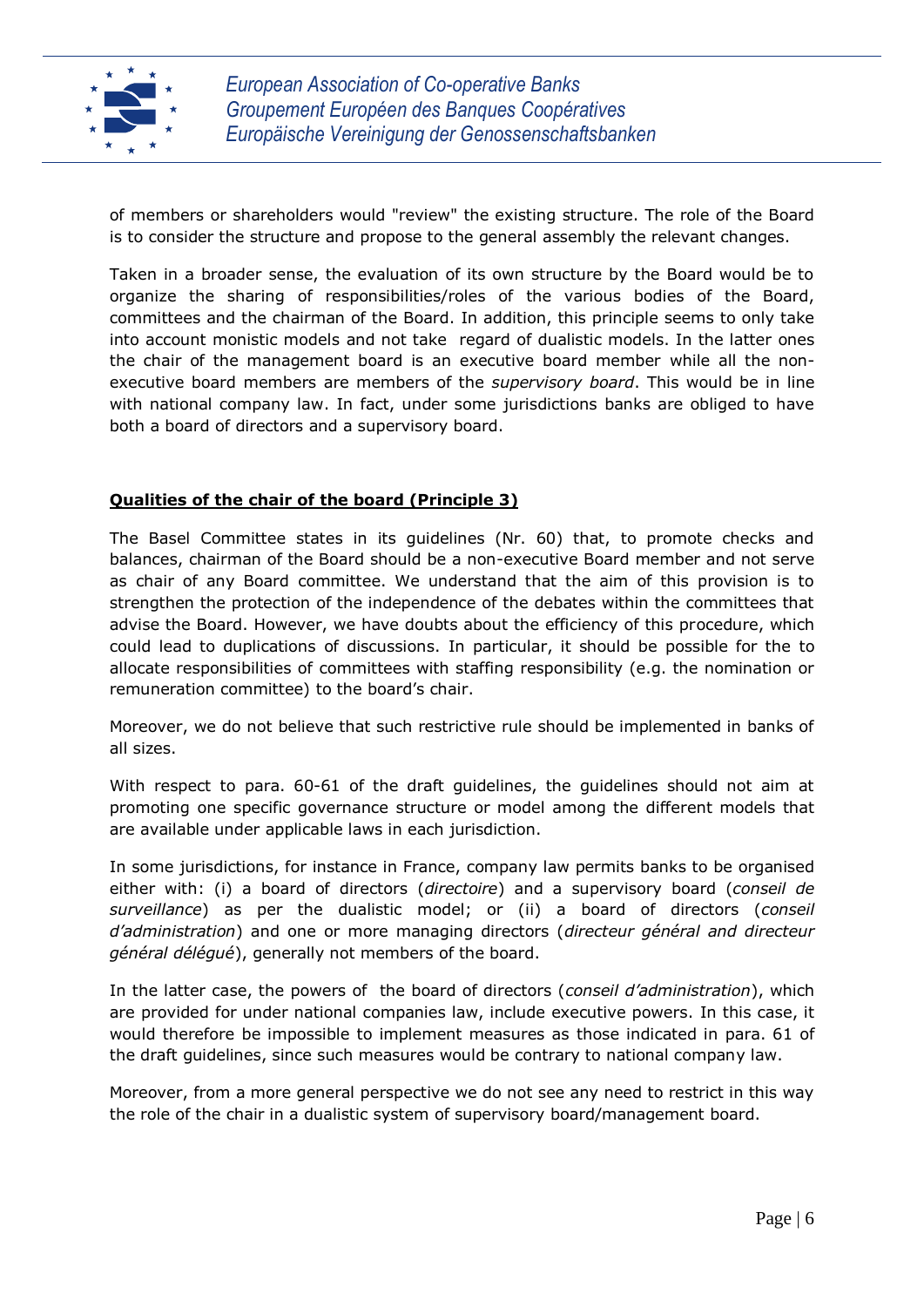

of members or shareholders would "review" the existing structure. The role of the Board is to consider the structure and propose to the general assembly the relevant changes.

Taken in a broader sense, the evaluation of its own structure by the Board would be to organize the sharing of responsibilities/roles of the various bodies of the Board, committees and the chairman of the Board. In addition, this principle seems to only take into account monistic models and not take regard of dualistic models. In the latter ones the chair of the management board is an executive board member while all the nonexecutive board members are members of the *supervisory board*. This would be in line with national company law. In fact, under some jurisdictions banks are obliged to have both a board of directors and a supervisory board.

#### **Qualities of the chair of the board (Principle 3)**

The Basel Committee states in its guidelines (Nr. 60) that, to promote checks and balances, chairman of the Board should be a non-executive Board member and not serve as chair of any Board committee. We understand that the aim of this provision is to strengthen the protection of the independence of the debates within the committees that advise the Board. However, we have doubts about the efficiency of this procedure, which could lead to duplications of discussions. In particular, it should be possible for the to allocate responsibilities of committees with staffing responsibility (e.g. the nomination or remuneration committee) to the board's chair.

Moreover, we do not believe that such restrictive rule should be implemented in banks of all sizes.

With respect to para. 60-61 of the draft guidelines, the guidelines should not aim at promoting one specific governance structure or model among the different models that are available under applicable laws in each jurisdiction.

In some jurisdictions, for instance in France, company law permits banks to be organised either with: (i) a board of directors (*directoire*) and a supervisory board (*conseil de surveillance*) as per the dualistic model; or (ii) a board of directors (*conseil d'administration*) and one or more managing directors (*directeur général and directeur général délégué*), generally not members of the board.

In the latter case, the powers of the board of directors (*conseil d'administration*), which are provided for under national companies law, include executive powers. In this case, it would therefore be impossible to implement measures as those indicated in para. 61 of the draft guidelines, since such measures would be contrary to national company law.

Moreover, from a more general perspective we do not see any need to restrict in this way the role of the chair in a dualistic system of supervisory board/management board.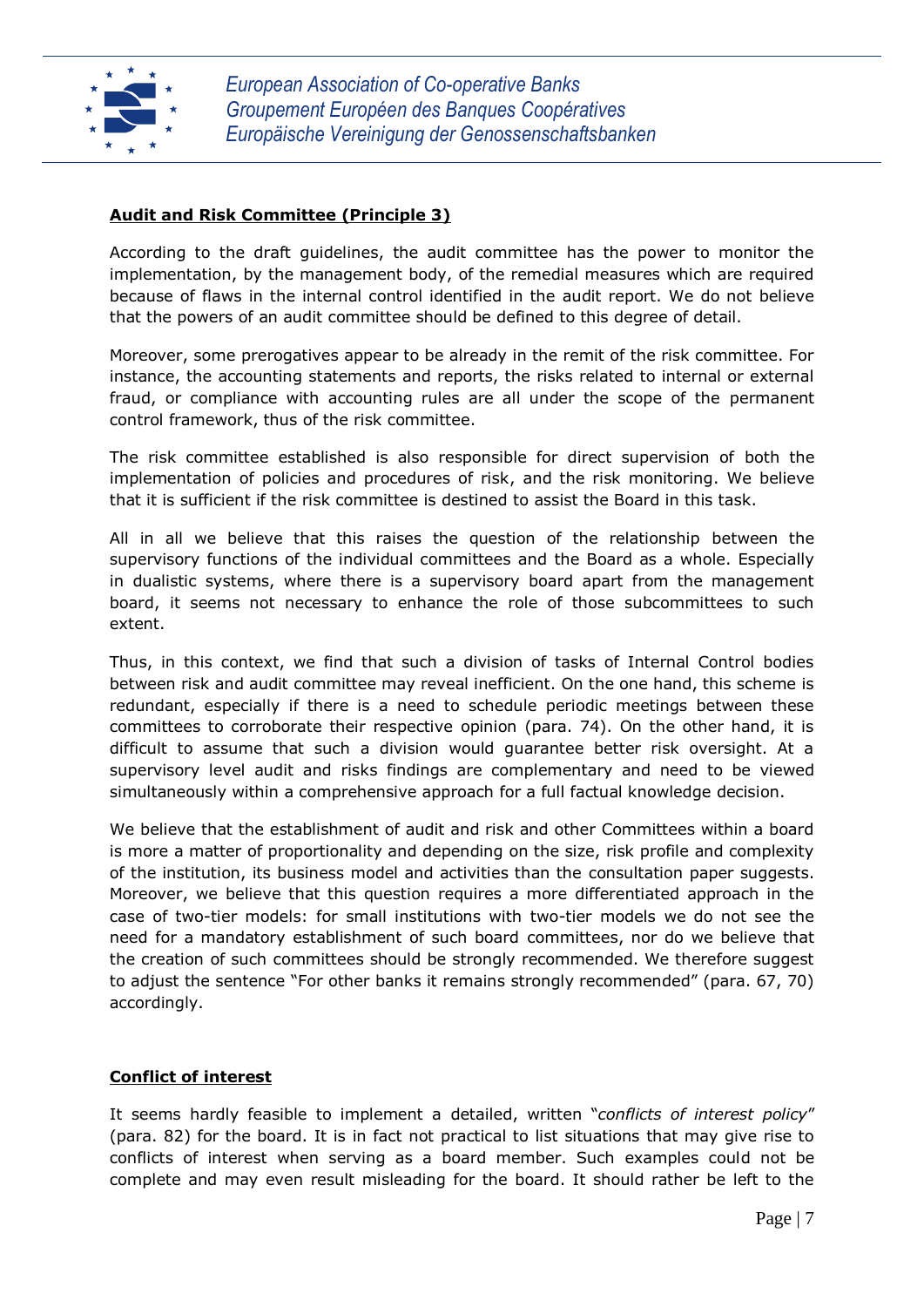

## **Audit and Risk Committee (Principle 3)**

According to the draft guidelines, the audit committee has the power to monitor the implementation, by the management body, of the remedial measures which are required because of flaws in the internal control identified in the audit report. We do not believe that the powers of an audit committee should be defined to this degree of detail.

Moreover, some prerogatives appear to be already in the remit of the risk committee. For instance, the accounting statements and reports, the risks related to internal or external fraud, or compliance with accounting rules are all under the scope of the permanent control framework, thus of the risk committee.

The risk committee established is also responsible for direct supervision of both the implementation of policies and procedures of risk, and the risk monitoring. We believe that it is sufficient if the risk committee is destined to assist the Board in this task.

All in all we believe that this raises the question of the relationship between the supervisory functions of the individual committees and the Board as a whole. Especially in dualistic systems, where there is a supervisory board apart from the management board, it seems not necessary to enhance the role of those subcommittees to such extent.

Thus, in this context, we find that such a division of tasks of Internal Control bodies between risk and audit committee may reveal inefficient. On the one hand, this scheme is redundant, especially if there is a need to schedule periodic meetings between these committees to corroborate their respective opinion (para. 74). On the other hand, it is difficult to assume that such a division would guarantee better risk oversight. At a supervisory level audit and risks findings are complementary and need to be viewed simultaneously within a comprehensive approach for a full factual knowledge decision.

We believe that the establishment of audit and risk and other Committees within a board is more a matter of proportionality and depending on the size, risk profile and complexity of the institution, its business model and activities than the consultation paper suggests. Moreover, we believe that this question requires a more differentiated approach in the case of two-tier models: for small institutions with two-tier models we do not see the need for a mandatory establishment of such board committees, nor do we believe that the creation of such committees should be strongly recommended. We therefore suggest to adjust the sentence "For other banks it remains strongly recommended" (para. 67, 70) accordingly.

#### **Conflict of interest**

It seems hardly feasible to implement a detailed, written "*conflicts of interest policy*" (para. 82) for the board. It is in fact not practical to list situations that may give rise to conflicts of interest when serving as a board member. Such examples could not be complete and may even result misleading for the board. It should rather be left to the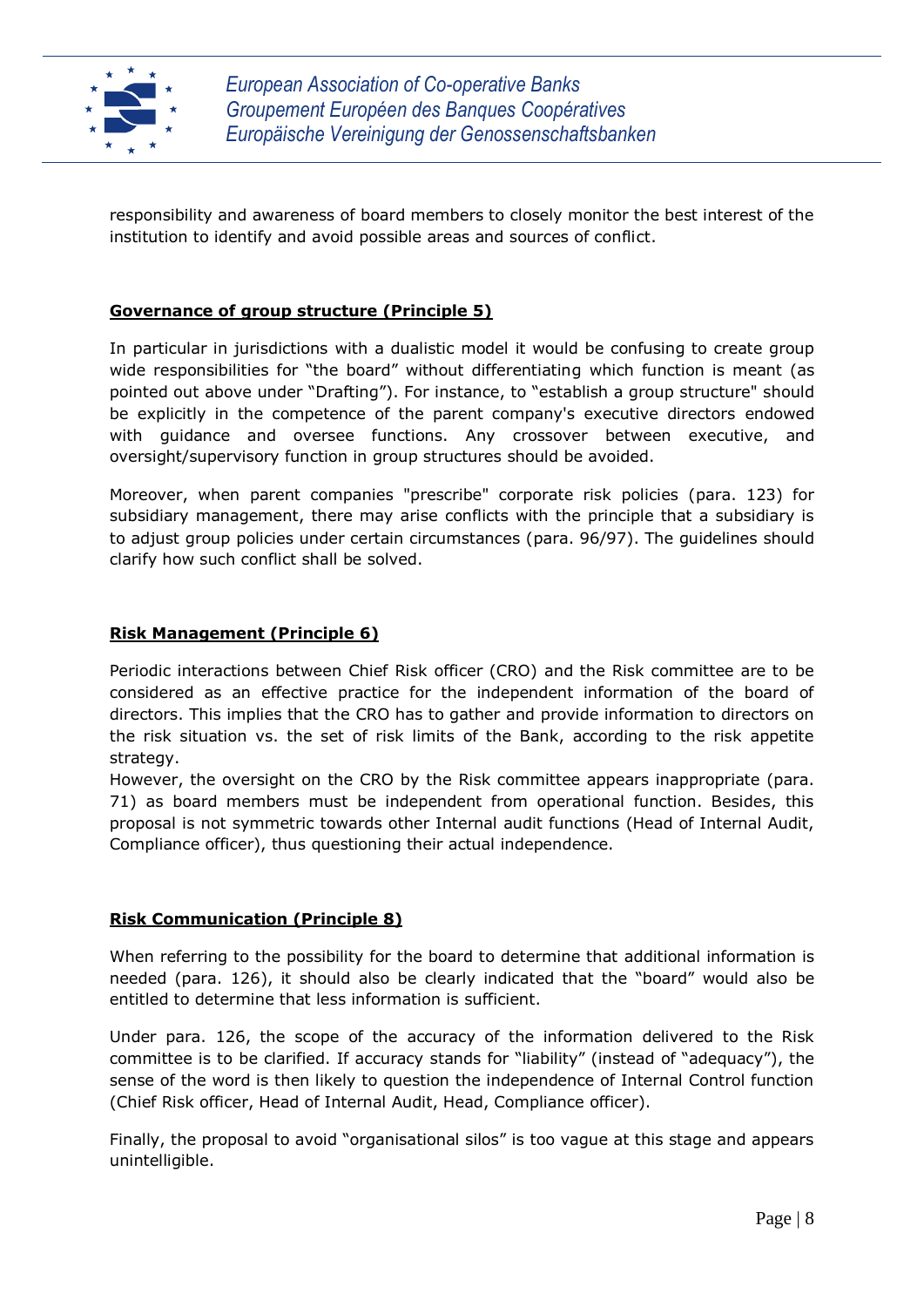

responsibility and awareness of board members to closely monitor the best interest of the institution to identify and avoid possible areas and sources of conflict.

## **Governance of group structure (Principle 5)**

In particular in jurisdictions with a dualistic model it would be confusing to create group wide responsibilities for "the board" without differentiating which function is meant (as pointed out above under "Drafting"). For instance, to "establish a group structure" should be explicitly in the competence of the parent company's executive directors endowed with guidance and oversee functions. Any crossover between executive, and oversight/supervisory function in group structures should be avoided.

Moreover, when parent companies "prescribe" corporate risk policies (para. 123) for subsidiary management, there may arise conflicts with the principle that a subsidiary is to adjust group policies under certain circumstances (para. 96/97). The guidelines should clarify how such conflict shall be solved.

## **Risk Management (Principle 6)**

Periodic interactions between Chief Risk officer (CRO) and the Risk committee are to be considered as an effective practice for the independent information of the board of directors. This implies that the CRO has to gather and provide information to directors on the risk situation vs. the set of risk limits of the Bank, according to the risk appetite strategy.

However, the oversight on the CRO by the Risk committee appears inappropriate (para. 71) as board members must be independent from operational function. Besides, this proposal is not symmetric towards other Internal audit functions (Head of Internal Audit, Compliance officer), thus questioning their actual independence.

#### **Risk Communication (Principle 8)**

When referring to the possibility for the board to determine that additional information is needed (para. 126), it should also be clearly indicated that the "board" would also be entitled to determine that less information is sufficient.

Under para. 126, the scope of the accuracy of the information delivered to the Risk committee is to be clarified. If accuracy stands for "liability" (instead of "adequacy"), the sense of the word is then likely to question the independence of Internal Control function (Chief Risk officer, Head of Internal Audit, Head, Compliance officer).

Finally, the proposal to avoid "organisational silos" is too vague at this stage and appears unintelligible.